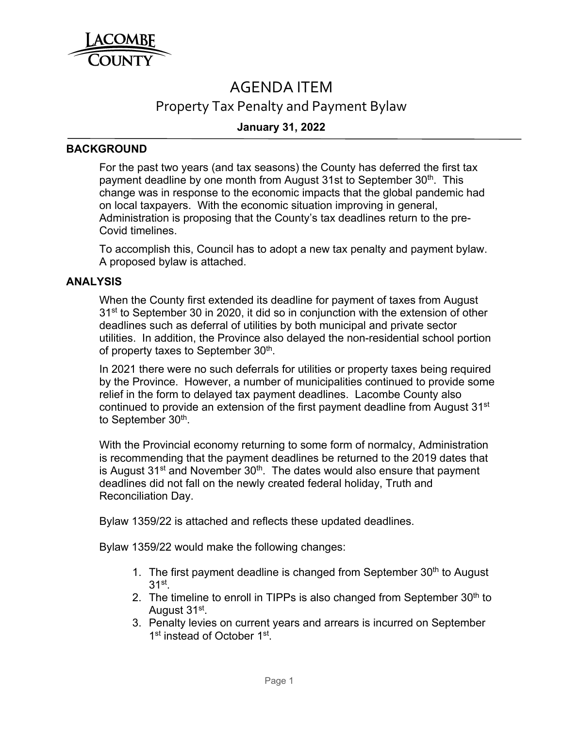

# AGENDA ITEM

## Property Tax Penalty and Payment Bylaw

### **January 31, 2022**

#### **BACKGROUND**

For the past two years (and tax seasons) the County has deferred the first tax payment deadline by one month from August 31st to September 30<sup>th</sup>. This change was in response to the economic impacts that the global pandemic had on local taxpayers. With the economic situation improving in general, Administration is proposing that the County's tax deadlines return to the pre-Covid timelines.

To accomplish this, Council has to adopt a new tax penalty and payment bylaw. A proposed bylaw is attached.

#### **ANALYSIS**

When the County first extended its deadline for payment of taxes from August 31<sup>st</sup> to September 30 in 2020, it did so in conjunction with the extension of other deadlines such as deferral of utilities by both municipal and private sector utilities. In addition, the Province also delayed the non-residential school portion of property taxes to September 30<sup>th</sup>.

In 2021 there were no such deferrals for utilities or property taxes being required by the Province. However, a number of municipalities continued to provide some relief in the form to delayed tax payment deadlines. Lacombe County also continued to provide an extension of the first payment deadline from August 31<sup>st</sup> to September 30<sup>th</sup>.

With the Provincial economy returning to some form of normalcy, Administration is recommending that the payment deadlines be returned to the 2019 dates that is August  $31<sup>st</sup>$  and November  $30<sup>th</sup>$ . The dates would also ensure that payment deadlines did not fall on the newly created federal holiday, Truth and Reconciliation Day.

Bylaw 1359/22 is attached and reflects these updated deadlines.

Bylaw 1359/22 would make the following changes:

- 1. The first payment deadline is changed from September  $30<sup>th</sup>$  to August  $31<sup>st</sup>$ .
- 2. The timeline to enroll in TIPPs is also changed from September  $30<sup>th</sup>$  to August 31st.
- 3. Penalty levies on current years and arrears is incurred on September 1<sup>st</sup> instead of October 1<sup>st</sup>